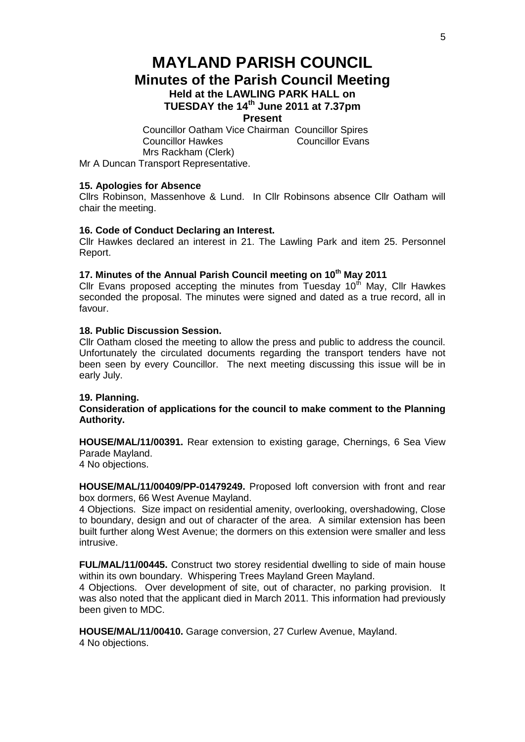# **MAYLAND PARISH COUNCIL Minutes of the Parish Council Meeting Held at the LAWLING PARK HALL on TUESDAY the 14th June 2011 at 7.37pm Present**

Councillor Oatham Vice Chairman Councillor Spires Councillor Hawkes Councillor Evans Mrs Rackham (Clerk) Mr A Duncan Transport Representative.

# **15. Apologies for Absence**

Cllrs Robinson, Massenhove & Lund. In Cllr Robinsons absence Cllr Oatham will chair the meeting.

# **16. Code of Conduct Declaring an Interest.**

Cllr Hawkes declared an interest in 21. The Lawling Park and item 25. Personnel Report.

# **17. Minutes of the Annual Parish Council meeting on 10th May 2011**

Cllr Evans proposed accepting the minutes from Tuesday  $10<sup>th</sup>$  May, Cllr Hawkes seconded the proposal. The minutes were signed and dated as a true record, all in favour.

## **18. Public Discussion Session.**

Cllr Oatham closed the meeting to allow the press and public to address the council. Unfortunately the circulated documents regarding the transport tenders have not been seen by every Councillor. The next meeting discussing this issue will be in early July.

## **19. Planning.**

# **Consideration of applications for the council to make comment to the Planning Authority.**

**HOUSE/MAL/11/00391.** Rear extension to existing garage, Chernings, 6 Sea View Parade Mayland.

4 No objections.

**HOUSE/MAL/11/00409/PP-01479249.** Proposed loft conversion with front and rear box dormers, 66 West Avenue Mayland.

4 Objections. Size impact on residential amenity, overlooking, overshadowing, Close to boundary, design and out of character of the area. A similar extension has been built further along West Avenue; the dormers on this extension were smaller and less intrusive.

**FUL/MAL/11/00445.** Construct two storey residential dwelling to side of main house within its own boundary. Whispering Trees Mayland Green Mayland.

4 Objections. Over development of site, out of character, no parking provision. It was also noted that the applicant died in March 2011. This information had previously been given to MDC.

**HOUSE/MAL/11/00410.** Garage conversion, 27 Curlew Avenue, Mayland. 4 No objections.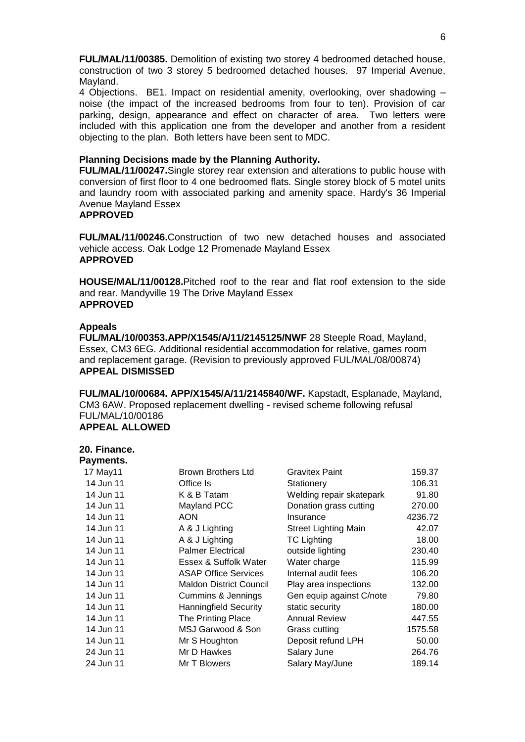**FUL/MAL/11/00385.** Demolition of existing two storey 4 bedroomed detached house, construction of two 3 storey 5 bedroomed detached houses. 97 Imperial Avenue, Mayland.

4 Objections. BE1. Impact on residential amenity, overlooking, over shadowing – noise (the impact of the increased bedrooms from four to ten). Provision of car parking, design, appearance and effect on character of area. Two letters were included with this application one from the developer and another from a resident objecting to the plan. Both letters have been sent to MDC.

## **Planning Decisions made by the Planning Authority.**

**FUL/MAL/11/00247.**Single storey rear extension and alterations to public house with conversion of first floor to 4 one bedroomed flats. Single storey block of 5 motel units and laundry room with associated parking and amenity space. Hardy's 36 Imperial Avenue Mayland Essex

#### **APPROVED**

**FUL/MAL/11/00246.**Construction of two new detached houses and associated vehicle access. Oak Lodge 12 Promenade Mayland Essex **APPROVED**

**HOUSE/MAL/11/00128.**Pitched roof to the rear and flat roof extension to the side and rear. Mandyville 19 The Drive Mayland Essex **APPROVED**

#### **Appeals**

**FUL/MAL/10/00353.APP/X1545/A/11/2145125/NWF** 28 Steeple Road, Mayland, Essex, CM3 6EG. Additional residential accommodation for relative, games room and replacement garage. (Revision to previously approved FUL/MAL/08/00874) **APPEAL DISMISSED**

**FUL/MAL/10/00684. APP/X1545/A/11/2145840/WF.** Kapstadt, Esplanade, Mayland, CM3 6AW. Proposed replacement dwelling - revised scheme following refusal FUL/MAL/10/00186 **APPEAL ALLOWED**

## **20. Finance.**

| Payments. |                                |                             |         |
|-----------|--------------------------------|-----------------------------|---------|
| 17 May11  | Brown Brothers Ltd             | <b>Gravitex Paint</b>       | 159.37  |
| 14 Jun 11 | Office Is                      | Stationery                  | 106.31  |
| 14 Jun 11 | K & B Tatam                    | Welding repair skatepark    | 91.80   |
| 14 Jun 11 | Mayland PCC                    | Donation grass cutting      | 270.00  |
| 14 Jun 11 | <b>AON</b>                     | Insurance                   | 4236.72 |
| 14 Jun 11 | A & J Lighting                 | <b>Street Lighting Main</b> | 42.07   |
| 14 Jun 11 | A & J Lighting                 | <b>TC Lighting</b>          | 18.00   |
| 14 Jun 11 | <b>Palmer Electrical</b>       | outside lighting            | 230.40  |
| 14 Jun 11 | Essex & Suffolk Water          | Water charge                | 115.99  |
| 14 Jun 11 | <b>ASAP Office Services</b>    | Internal audit fees         | 106.20  |
| 14 Jun 11 | <b>Maldon District Council</b> | Play area inspections       | 132.00  |
| 14 Jun 11 | Cummins & Jennings             | Gen equip against C/note    | 79.80   |
| 14 Jun 11 | <b>Hanningfield Security</b>   | static security             | 180.00  |
| 14 Jun 11 | The Printing Place             | <b>Annual Review</b>        | 447.55  |
| 14 Jun 11 | MSJ Garwood & Son              | Grass cutting               | 1575.58 |
| 14 Jun 11 | Mr S Houghton                  | Deposit refund LPH          | 50.00   |
| 24 Jun 11 | Mr D Hawkes                    | Salary June                 | 264.76  |
| 24 Jun 11 | Mr T Blowers                   | Salary May/June             | 189.14  |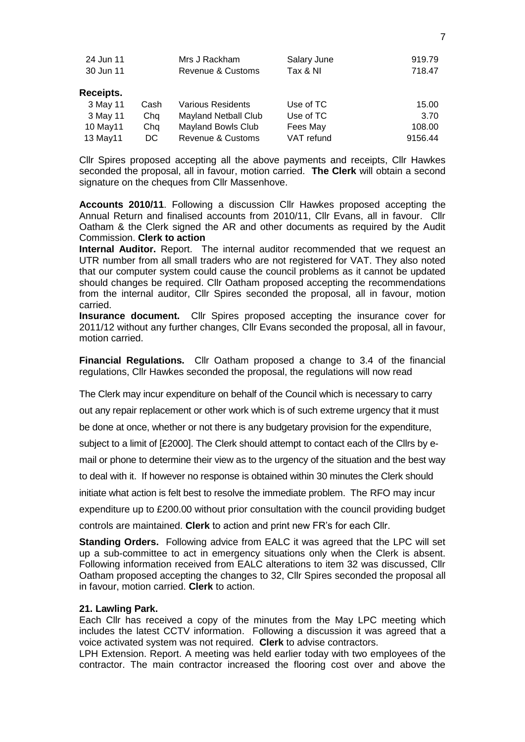| 24 Jun 11 |      | Mrs J Rackham                | Salary June | 919.79  |
|-----------|------|------------------------------|-------------|---------|
| 30 Jun 11 |      | Revenue & Customs            | Tax & NI    | 718.47  |
|           |      |                              |             |         |
| Receipts. |      |                              |             |         |
| 3 May 11  | Cash | <b>Various Residents</b>     | Use of TC   | 15.00   |
| 3 May 11  | Chq  | Mayland Netball Club         | Use of TC   | 3.70    |
| 10 May11  | Chq  | <b>Mayland Bowls Club</b>    | Fees May    | 108.00  |
| 13 May11  | DC.  | <b>Revenue &amp; Customs</b> | VAT refund  | 9156.44 |

Cllr Spires proposed accepting all the above payments and receipts, Cllr Hawkes seconded the proposal, all in favour, motion carried. **The Clerk** will obtain a second signature on the cheques from Cllr Massenhove.

**Accounts 2010/11**. Following a discussion Cllr Hawkes proposed accepting the Annual Return and finalised accounts from 2010/11, Cllr Evans, all in favour. Cllr Oatham & the Clerk signed the AR and other documents as required by the Audit Commission. **Clerk to action**

**Internal Auditor.** Report. The internal auditor recommended that we request an UTR number from all small traders who are not registered for VAT. They also noted that our computer system could cause the council problems as it cannot be updated should changes be required. Cllr Oatham proposed accepting the recommendations from the internal auditor, Cllr Spires seconded the proposal, all in favour, motion carried.

**Insurance document.** Cllr Spires proposed accepting the insurance cover for 2011/12 without any further changes, Cllr Evans seconded the proposal, all in favour, motion carried.

**Financial Regulations.** Cllr Oatham proposed a change to 3.4 of the financial regulations, Cllr Hawkes seconded the proposal, the regulations will now read

The Clerk may incur expenditure on behalf of the Council which is necessary to carry

out any repair replacement or other work which is of such extreme urgency that it must

be done at once, whether or not there is any budgetary provision for the expenditure,

subject to a limit of [£2000]. The Clerk should attempt to contact each of the Cllrs by e-

mail or phone to determine their view as to the urgency of the situation and the best way

to deal with it. If however no response is obtained within 30 minutes the Clerk should

initiate what action is felt best to resolve the immediate problem. The RFO may incur

expenditure up to £200.00 without prior consultation with the council providing budget

controls are maintained. **Clerk** to action and print new FR's for each Cllr.

**Standing Orders.** Following advice from EALC it was agreed that the LPC will set up a sub-committee to act in emergency situations only when the Clerk is absent. Following information received from EALC alterations to item 32 was discussed, Cllr Oatham proposed accepting the changes to 32, Cllr Spires seconded the proposal all in favour, motion carried. **Clerk** to action.

## **21. Lawling Park.**

Each Cllr has received a copy of the minutes from the May LPC meeting which includes the latest CCTV information. Following a discussion it was agreed that a voice activated system was not required. **Clerk** to advise contractors.

LPH Extension. Report. A meeting was held earlier today with two employees of the contractor. The main contractor increased the flooring cost over and above the